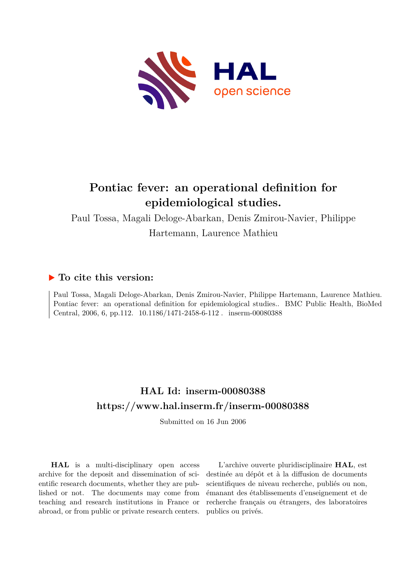

# **Pontiac fever: an operational definition for epidemiological studies.**

Paul Tossa, Magali Deloge-Abarkan, Denis Zmirou-Navier, Philippe Hartemann, Laurence Mathieu

# **To cite this version:**

Paul Tossa, Magali Deloge-Abarkan, Denis Zmirou-Navier, Philippe Hartemann, Laurence Mathieu. Pontiac fever: an operational definition for epidemiological studies.. BMC Public Health, BioMed Central, 2006, 6, pp.112. 10.1186/1471-2458-6-112. inserm-00080388

# **HAL Id: inserm-00080388 <https://www.hal.inserm.fr/inserm-00080388>**

Submitted on 16 Jun 2006

**HAL** is a multi-disciplinary open access archive for the deposit and dissemination of scientific research documents, whether they are published or not. The documents may come from teaching and research institutions in France or abroad, or from public or private research centers.

L'archive ouverte pluridisciplinaire **HAL**, est destinée au dépôt et à la diffusion de documents scientifiques de niveau recherche, publiés ou non, émanant des établissements d'enseignement et de recherche français ou étrangers, des laboratoires publics ou privés.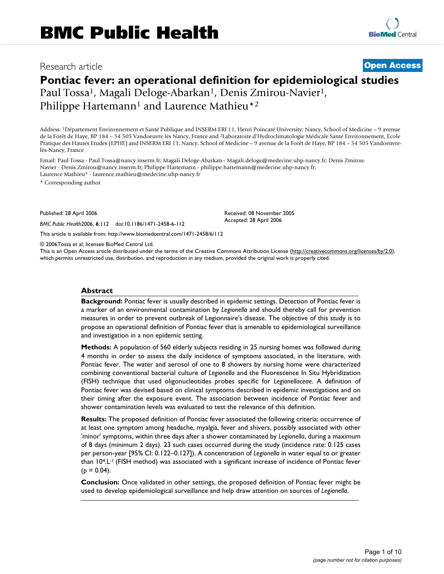# Research article **Contract Contract Contract Contract Contract Contract Contract Contract Contract Contract Contract Contract Contract Contract Contract Contract Contract Contract Contract Contract Contract Contract Contra**

# **Pontiac fever: an operational definition for epidemiological studies** Paul Tossa<sup>1</sup>, Magali Deloge-Abarkan<sup>1</sup>, Denis Zmirou-Navier<sup>1</sup>,

Philippe Hartemann<sup>1</sup> and Laurence Mathieu\*<sup>2</sup>

Address: <sup>1</sup>Département Environnement et Santé Publique and INSERM ERI 11, Henri Poincaré University; Nancy, School of Medicine – 9 avenue de la Forêt de Haye, BP 184 – 54 505 Vandoeuvre lès Nancy, France and <sup>2</sup>Laboratoire d'Hydroclimatologie Médicale Santé Environnement, Ecole Pratique des Hautes Etudes (EPHE) and INSERM ERI 11; Nancy, School of Medicine – 9 avenue de la Forêt de Haye, BP 184 – 54 505 Vandoeuvrelès-Nancy, France

Email: Paul Tossa - Paul.Tossa@nancy.inserm.fr; Magali Deloge-Abarkan - Magali.deloge@medecine.uhp-nancy.fr; Denis Zmirou-Navier - Denis.Zmirou@nancy.inserm.fr; Philippe Hartemann - philippe.hartemann@medecine.uhp-nancy.fr; Laurence Mathieu\* - laurence.mathieu@medecine.uhp-nancy.fr

\* Corresponding author

Published: 28 April 2006

*BMC Public Health*2006, **6**:112 doi:10.1186/1471-2458-6-112

[This article is available from: http://www.biomedcentral.com/1471-2458/6/112](http://www.biomedcentral.com/1471-2458/6/112)

© 2006Tossa et al; licensee BioMed Central Ltd.

This is an Open Access article distributed under the terms of the Creative Commons Attribution License [\(http://creativecommons.org/licenses/by/2.0\)](http://creativecommons.org/licenses/by/2.0), which permits unrestricted use, distribution, and reproduction in any medium, provided the original work is properly cited.

Received: 08 November 2005 Accepted: 28 April 2006

#### **Abstract**

**Background:** Pontiac fever is usually described in epidemic settings. Detection of Pontiac fever is a marker of an environmental contamination by *Legionella* and should thereby call for prevention measures in order to prevent outbreak of Legionnaire's disease. The objective of this study is to propose an operational definition of Pontiac fever that is amenable to epidemiological surveillance and investigation in a non epidemic setting.

**Methods:** A population of 560 elderly subjects residing in 25 nursing homes was followed during 4 months in order to assess the daily incidence of symptoms associated, in the literature, with Pontiac fever. The water and aerosol of one to 8 showers by nursing home were characterized combining conventional bacterial culture of *Legionella* and the Fluorescence In Situ Hybridization (FISH) technique that used oligonucleotides probes specific for *Legionellaceae*. A definition of Pontiac fever was devised based on clinical symptoms described in epidemic investigations and on their timing after the exposure event. The association between incidence of Pontiac fever and shower contamination levels was evaluated to test the relevance of this definition.

**Results:** The proposed definition of Pontiac fever associated the following criteria: occurrence of at least one symptom among headache, myalgia, fever and shivers, possibly associated with other 'minor' symptoms, within three days after a shower contaminated by *Legionella*, during a maximum of 8 days (minimum 2 days). 23 such cases occurred during the study (incidence rate: 0.125 cases per person-year [95% CI: 0.122–0.127]). A concentration of *Legionella* in water equal to or greater than 10<sup>4</sup>.L-1 (FISH method) was associated with a significant increase of incidence of Pontiac fever  $(p = 0.04)$ .

**Conclusion:** Once validated in other settings, the proposed definition of Pontiac fever might be used to develop epidemiological surveillance and help draw attention on sources of *Legionella*.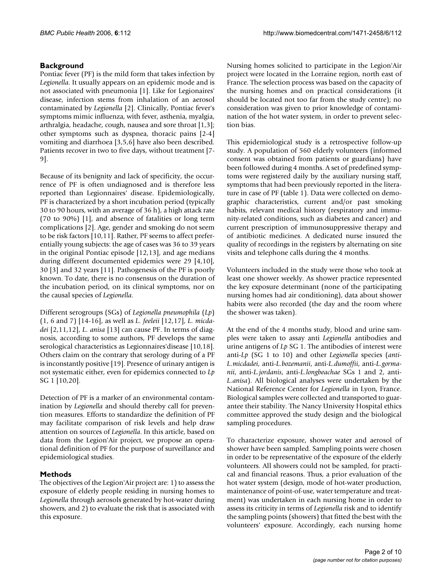# **Background**

Pontiac fever (PF) is the mild form that takes infection by *Legionella*. It usually appears on an epidemic mode and is not associated with pneumonia [1]. Like for Legionaires' disease, infection stems from inhalation of an aerosol contaminated by *Legionella* [2]. Clinically, Pontiac fever's symptoms mimic influenza, with fever, asthenia, myalgia, arthralgia, headache, cough, nausea and sore throat [1,3]; other symptoms such as dyspnea, thoracic pains [2[-4\]](#page-9-0) vomiting and diarrhoea [3,5,6] have also been described. Patients recover in two to five days, without treatment [7- 9].

Because of its benignity and lack of specificity, the occurrence of PF is often undiagnosed and is therefore less reported than Legionnaires' disease. Epidemiologically, PF is characterized by a short incubation period (typically 30 to 90 hours, with an average of 36 h), a high attack rate (70 to 90%) [1], and absence of fatalities or long term complications [2]. Age, gender and smoking do not seem to be risk factors [10,11]. Rather, PF seems to affect preferentially young subjects: the age of cases was 36 to 39 years in the original Pontiac episode [12,13], and age medians during different documented epidemics were 29 [\[4,](#page-9-0)10], 30 [3] and 32 years [11]. Pathogenesis of the PF is poorly known. To date, there is no consensus on the duration of the incubation period, on its clinical symptoms, nor on the causal species of *Legionella*.

Different serogroups (SGs) of *Legionella pneumophila* (*Lp*) (1, 6 and 7) [\[14](#page-9-1)-16], as well as *L. feeleii* [12,[17](#page-9-2)], *L. micdadei* [2,11,12], *L. anisa* [13] can cause PF. In terms of diagnosis, according to some authors, PF develops the same serological characteristics as Legionnaires'disease [10,18]. Others claim on the contrary that serology during of a PF is inconstantly positive [19]. Presence of urinary antigen is not systematic either, even for epidemics connected to *Lp* SG 1 [10,20].

Detection of PF is a marker of an environmental contamination by *Legionella* and should thereby call for prevention measures. Efforts to standardize the definition of PF may facilitate comparison of risk levels and help draw attention on sources of *Legionella*. In this article, based on data from the Legion'Air project, we propose an operational definition of PF for the purpose of surveillance and epidemiological studies.

# **Methods**

The objectives of the Legion'Air project are: 1) to assess the exposure of elderly people residing in nursing homes to *Legionella* through aerosols generated by hot-water during showers, and 2) to evaluate the risk that is associated with this exposure.

Nursing homes solicited to participate in the Legion'Air project were located in the Lorraine region, north east of France. The selection process was based on the capacity of the nursing homes and on practical considerations (it should be located not too far from the study centre); no consideration was given to prior knowledge of contamination of the hot water system, in order to prevent selection bias.

This epidemiological study is a retrospective follow-up study. A population of 560 elderly volunteers (informed consent was obtained from patients or guardians) have been followed during 4 months. A set of predefined symptoms were registered daily by the auxiliary nursing staff, symptoms that had been previously reported in the literature in case of PF (table 1). Data were collected on demographic characteristics, current and/or past smoking habits, relevant medical history (respiratory and immunity-related conditions, such as diabetes and cancer) and current prescription of immunosuppressive therapy and of antibiotic medicines. A dedicated nurse insured the quality of recordings in the registers by alternating on site visits and telephone calls during the 4 months.

Volunteers included in the study were those who took at least one shower weekly. As shower practice represented the key exposure determinant (none of the participating nursing homes had air conditioning), data about shower habits were also recorded (the day and the room where the shower was taken).

At the end of the 4 months study, blood and urine samples were taken to assay anti *Legionella* antibodies and urine antigens of *Lp* SG 1. The antibodies of interest were anti-*Lp* (SG 1 to 10) and other *Legionella* species (*anti-L.micdadei*, anti-*L.bozemanii*, anti-*L.dumoffii*, anti-*L.gormanii*, anti-*L.jordanis*, anti-*L.longbeachae* SGs 1 and 2, anti-*L.anisa*). All biological analyses were undertaken by the National Reference Center for *Legionella* in Lyon, France. Biological samples were collected and transported to guarantee their stability. The Nancy University Hospital ethics committee approved the study design and the biological sampling procedures.

To characterize exposure, shower water and aerosol of shower have been sampled. Sampling points were chosen in order to be representative of the exposure of the elderly volunteers. All showers could not be sampled, for practical and financial reasons. Thus, a prior evaluation of the hot water system (design, mode of hot-water production, maintenance of point-of-use, water temperature and treatment) was undertaken in each nursing home in order to assess its criticity in terms of *Legionella* risk and to identify the sampling points (showers) that fitted the best with the volunteers' exposure. Accordingly, each nursing home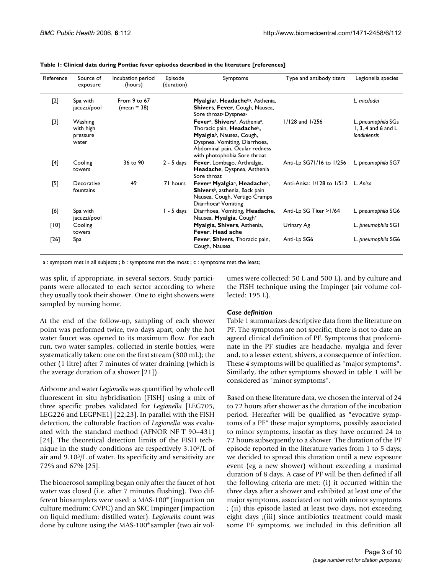| Reference | Source of<br>exposure                     | Incubation period<br>(hours)  | Episode<br>(duration) | Symptoms                                                                                                                                                                                                                                             | Type and antibody titers            | Legionella species                                         |
|-----------|-------------------------------------------|-------------------------------|-----------------------|------------------------------------------------------------------------------------------------------------------------------------------------------------------------------------------------------------------------------------------------------|-------------------------------------|------------------------------------------------------------|
| $[2]$     | Spa with<br>jacuzzi/pool                  | From 9 to 67<br>$(mean = 38)$ |                       | Myalgia <sup>a</sup> , Headache <sup>ba</sup> , Asthenia,<br><b>Shivers, Fever, Cough, Nausea,</b><br>Sore throat <sup>c</sup> Dyspnea <sup>c</sup>                                                                                                  |                                     | L. micdadei                                                |
| $[3]$     | Washing<br>with high<br>pressure<br>water |                               |                       | Fever <sup>a</sup> , Shivers <sup>a</sup> , Asthenia <sup>a</sup> ,<br>Thoracic pain, <b>Headache</b> b,<br>Myalgia <sup>b</sup> , Nausea, Cough,<br>Dyspnea, Vomiting, Diarrhoea,<br>Abdominal pain, Ocular redness<br>with photophobia Sore throat | $1/128$ and $1/256$                 | L. pneumophila SGs<br>1, 3, 4 and 6 and L.<br>londiniensis |
| [4]       | Cooling<br>towers                         | 36 to 90                      | $2 - 5$ days          | Fever, Lombago, Arthralgia,<br>Headache, Dyspnea, Asthenia<br>Sore throat                                                                                                                                                                            | Anti-Lp SG71/16 to 1/256            | L. pneumophila SG7                                         |
| [5]       | Decorative<br>fountains                   | 49                            | 71 hours              | Fever <sup>a</sup> Myalgia <sup>b</sup> , Headache <sup>b</sup> ,<br>Shivers <sup>b</sup> , asthenia, Back pain<br>Nausea, Cough, Vertigo Cramps<br>Diarrhoea <sup>c</sup> Vomiting                                                                  | Anti-Anisa: 1/128 to 1/512 L. Anisa |                                                            |
| [6]       | Spa with<br>jacuzzi/pool                  |                               | l - 5 days            | Diarrhoea, Vomiting, Headache,<br>Nausea, Myalgia, Cough <sup>c</sup>                                                                                                                                                                                | Anti-Lp SG Titer >1/64              | L. pneumophila SG6                                         |
| [10]      | Cooling<br>towers                         |                               |                       | Myalgia, Shivers, Asthenia,<br>Fever, Head ache                                                                                                                                                                                                      | Urinary Ag                          | L. pneumophila SGI                                         |
| $[26]$    | Spa                                       |                               |                       | <b>Fever, Shivers, Thoracic pain,</b><br>Cough, Nausea                                                                                                                                                                                               | Anti-Lp SG6                         | L. pneumophila SG6                                         |

**Table 1: Clinical data during Pontiac fever episodes described in the literature [references]**

a : symptom met in all subjects ; b : symptoms met the most ; c : symptoms met the least;

was split, if appropriate, in several sectors. Study participants were allocated to each sector according to where they usually took their shower. One to eight showers were sampled by nursing home.

umes were collected: 50 L and 500 L), and by culture and the FISH technique using the Impinger (air volume collected: 195 L).

At the end of the follow-up, sampling of each shower point was performed twice, two days apart; only the hot water faucet was opened to its maximum flow. For each run, two water samples, collected in sterile bottles, were systematically taken: one on the first stream (300 mL); the other (1 litre) after 7 minutes of water draining (which is the average duration of a shower [21]).

Airborne and water *Legionella* was quantified by whole cell fluorescent in situ hybridisation (FISH) using a mix of three specific probes validated for *Legionella* [LEG705, LEG226 and LEGPNE1] [22,23]. In parallel with the FISH detection, the culturable fraction of *Legionella* was evaluated with the standard method (AFNOR NF T 90–431) [24]. The theoretical detection limits of the FISH technique in the study conditions are respectively 3.10<sup>2</sup>/L of air and 9.10<sup>3</sup>/L of water. Its specificity and sensitivity are 72% and 67% [25].

The bioaerosol sampling began only after the faucet of hot water was closed (i.e. after 7 minutes flushing). Two different biosamplers were used: a MAS-100® (impaction on culture medium: GVPC) and an SKC Impinger (impaction on liquid medium: distilled water). *Legionella* count was done by culture using the MAS-100® sampler (two air vol-

#### *Case definition*

Table 1 summarizes descriptive data from the literature on PF. The symptoms are not specific; there is not to date an agreed clinical definition of PF. Symptoms that predominate in the PF studies are headache, myalgia and fever and, to a lesser extent, shivers, a consequence of infection. These 4 symptoms will be qualified as "major symptoms". Similarly, the other symptoms showed in table 1 will be considered as "minor symptoms".

Based on these literature data, we chosen the interval of 24 to 72 hours after shower as the duration of the incubation period. Hereafter will be qualified as "evocative symptoms of a PF" these major symptoms, possibly associated to minor symptoms, insofar as they have occurred 24 to 72 hours subsequently to a shower. The duration of the PF episode reported in the literature varies from 1 to 5 days; we decided to spread this duration until a new exposure event (eg a new shower) without exceeding a maximal duration of 8 days. A case of PF will be then defined if all the following criteria are met: (i) it occurred within the three days after a shower and exhibited at least one of the major symptoms, associated or not with minor symptoms ; (ii) this episode lasted at least two days, not exceeding eight days ;(iii) since antibiotics treatment could mask some PF symptoms, we included in this definition all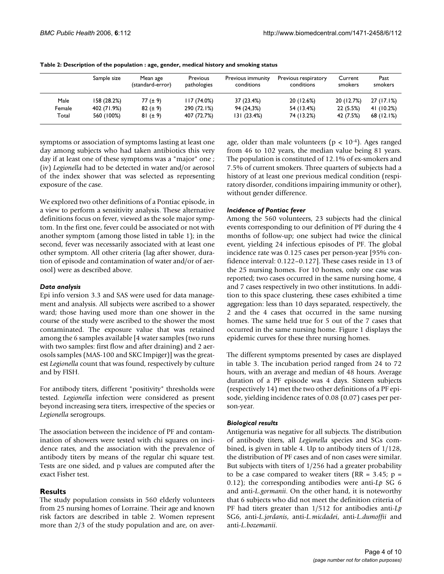|        | Sample size | Mean age<br>(standard-error) | Previous<br>pathologies | Previous immunity<br>conditions | Previous respiratory<br>conditions | Current<br>smokers | Past<br>smokers |
|--------|-------------|------------------------------|-------------------------|---------------------------------|------------------------------------|--------------------|-----------------|
| Male   | 158 (28.2%) | 77 $(\pm 9)$                 | 117(74.0%)              | 37 (23.4%)                      | 20 (12.6%)                         | 20 (12.7%)         | 27 (17.1%)      |
| Female | 402 (71.9%) | $82 (\pm 9)$                 | 290 (72.1%)             | 94 (24,3%)                      | 54 (13.4%)                         | 22 (5.5%)          | 41 (10.2%)      |
| Total  | 560 (100%)  | $81 (\pm 9)$                 | 407 (72.7%)             | 131(23.4%)                      | 74 (13.2%)                         | 42 (7.5%)          | 68 (12.1%)      |

**Table 2: Description of the population : age, gender, medical history and smoking status**

symptoms or association of symptoms lasting at least one day among subjects who had taken antibiotics this very day if at least one of these symptoms was a "major" one ; (iv) *Legionella* had to be detected in water and/or aerosol of the index shower that was selected as representing exposure of the case.

We explored two other definitions of a Pontiac episode, in a view to perform a sensitivity analysis. These alternative definitions focus on fever, viewed as the sole major symptom. In the first one, fever could be associated or not with another symptom (among those listed in table 1); in the second, fever was necessarily associated with at least one other symptom. All other criteria (lag after shower, duration of episode and contamination of water and/or of aerosol) were as described above.

#### *Data analysis*

Epi info version 3.3 and SAS were used for data management and analysis. All subjects were ascribed to a shower ward; those having used more than one shower in the course of the study were ascribed to the shower the most contaminated. The exposure value that was retained among the 6 samples available [4 water samples (two runs with two samples: first flow and after draining) and 2 aerosols samples (MAS-100 and SKC Impiger)] was the greatest *Legionella* count that was found, respectively by culture and by FISH.

For antibody titers, different "positivity" thresholds were tested. *Legionella* infection were considered as present beyond increasing sera titers, irrespective of the species or *Legionella* serogroups.

The association between the incidence of PF and contamination of showers were tested with chi squares on incidence rates, and the association with the prevalence of antibody titers by means of the regular chi square test. Tests are one sided, and p values are computed after the exact Fisher test.

# **Results**

The study population consists in 560 elderly volunteers from 25 nursing homes of Lorraine. Their age and known risk factors are described in table 2. Women represent more than 2/3 of the study population and are, on average, older than male volunteers ( $p < 10^{-4}$ ). Ages ranged from 46 to 102 years, the median value being 81 years. The population is constituted of 12.1% of ex-smokers and 7.5% of current smokers. Three quarters of subjects had a history of at least one previous medical condition (respiratory disorder, conditions impairing immunity or other), without gender difference.

#### *Incidence of Pontiac fever*

Among the 560 volunteers, 23 subjects had the clinical events corresponding to our definition of PF during the 4 months of follow-up; one subject had twice the clinical event, yielding 24 infectious episodes of PF. The global incidence rate was 0.125 cases per person-year [95% confidence interval: 0.122–0.127]. These cases reside in 13 of the 25 nursing homes. For 10 homes, only one case was reported; two cases occurred in the same nursing home, 4 and 7 cases respectively in two other institutions. In addition to this space clustering, these cases exhibited a time aggregation: less than 10 days separated, respectively, the 2 and the 4 cases that occurred in the same nursing homes. The same held true for 5 out of the 7 cases that occurred in the same nursing home. Figure 1 displays the epidemic curves for these three nursing homes.

The different symptoms presented by cases are displayed in table 3. The incubation period ranged from 24 to 72 hours, with an average and median of 48 hours. Average duration of a PF episode was 4 days. Sixteen subjects (respectively 14) met the two other definitions of a PF episode, yielding incidence rates of 0.08 (0.07) cases per person-year.

#### *Biological results*

Antigenuria was negative for all subjects. The distribution of antibody titers, all *Legionella* species and SGs combined, is given in table 4. Up to antibody titers of 1/128, the distribution of PF cases and of non cases were similar. But subjects with titers of 1/256 had a greater probability to be a case compared to weaker titers ( $RR = 3.45$ ;  $p =$ 0.12); the corresponding antibodies were anti-*Lp* SG 6 and anti-*L.gormanii*. On the other hand, it is noteworthy that 6 subjects who did not meet the definition criteria of PF had titers greater than 1/512 for antibodies anti-*Lp* SG6, anti-*L.jordanis*, anti-*L.micdadei*, anti-*L.dumoffii* and anti-*L.bozemanii*.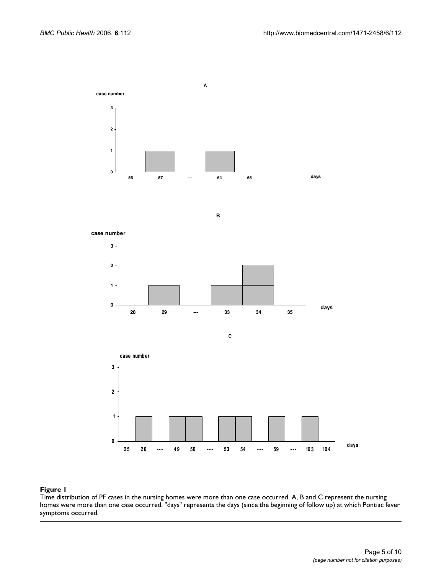



**case number**



**C**



#### Time distribution of PF cases in the nursi in the nursi in the nursi of  $\mathbb{F}_p$  or case of  $\mathbb{F}_p$  or case of  $\mathbb{F}_p$  or case of  $\mathbb{F}_p$  or case of  $\mathbb{F}_p$  or case of  $\mathbb{F}_p$  or case of  $\mathbb{F}_p$  or case of  $\math$

Time distribution of PF cases in the nursing homes were more than one case occurred. A, B and C represent the nursing homes were more than one case occurred. "days" represents the days (since the beginning of follow up) at which Pontiac fever symptoms occurred.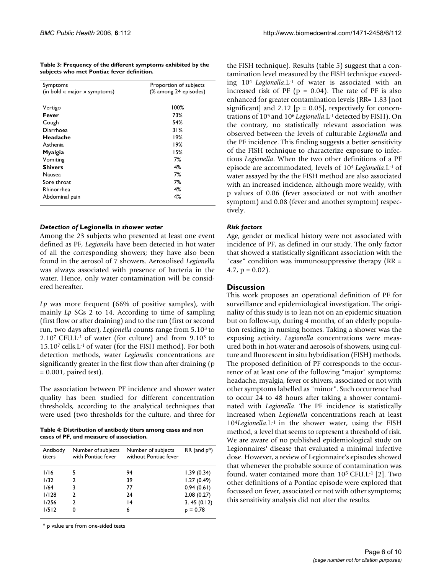**Table 3: Frequency of the different symptoms exhibited by the subjects who met Pontiac fever definition.**

| Symptoms                     | Proportion of subjects |  |
|------------------------------|------------------------|--|
| (in bold « major » symptoms) | (% among 24 episodes)  |  |
| Vertigo                      | 100%                   |  |
| Fever                        | 73%                    |  |
| Cough                        | 54%                    |  |
| Diarrhoea                    | 31%                    |  |
| Headache                     | 19%                    |  |
| Asthenia                     | 19%                    |  |
| Myalgia                      | 15%                    |  |
| Vomiting                     | 7%                     |  |
| <b>Shivers</b>               | 4%                     |  |
| <b>Nausea</b>                | 7%                     |  |
| Sore throat                  | 7%                     |  |
| Rhinorrhea                   | 4%                     |  |
| Abdominal pain               | 4%                     |  |

#### *Detection of* **Legionella** *in shower water*

Among the 23 subjects who presented at least one event defined as PF, *Legionella* have been detected in hot water of all the corresponding showers; they have also been found in the aerosol of 7 showers. Aerosolised *Legionella* was always associated with presence of bacteria in the water. Hence, only water contamination will be considered hereafter.

*Lp* was more frequent (66% of positive samples), with mainly *Lp* SGs 2 to 14. According to time of sampling (first flow or after draining) and to the run (first or second run, two days after), *Legionella* counts range from 5.10<sup>3</sup> to  $2.10^7$  CFU.L<sup>-1</sup> of water (for culture) and from  $9.10^3$  to  $15.10<sup>7</sup>$  cells.L<sup>-1</sup> of water (for the FISH method). For both detection methods, water *Legionella* concentrations are significantly greater in the first flow than after draining (p  $= 0.001$ , paired test).

The association between PF incidence and shower water quality has been studied for different concentration thresholds, according to the analytical techniques that were used (two thresholds for the culture, and three for

**Table 4: Distribution of antibody titers among cases and non cases of PF, and measure of association.**

| Antibody<br>titers | Number of subjects<br>with Pontiac fever | Number of subjects<br>without Pontiac fever | $RR$ (and $p^*$ ) |
|--------------------|------------------------------------------|---------------------------------------------|-------------------|
| 1/16               | 5                                        | 94                                          | 1.39(0.34)        |
| 1/32               | $\mathcal{P}$                            | 39                                          | 1.27(0.49)        |
| 1/64               | 3                                        | 77                                          | 0.94(0.61)        |
| 1/128              | $\mathcal{P}$                            | 24                                          | 2.08(0.27)        |
| 1/256              | $\mathcal{P}$                            | 14                                          | 3.45(0.12)        |
| 1/512              | 0                                        | 6                                           | $p = 0.78$        |

\* p value are from one-sided tests

the FISH technique). Results (table 5) suggest that a contamination level measured by the FISH technique exceeding 10<sup>4</sup>*Legionella*.L-1 of water is associated with an increased risk of PF ( $p = 0.04$ ). The rate of PF is also enhanced for greater contamination levels (RR= 1.83 [not significant] and 2.12 [ $p = 0.05$ ], respectively for concentrations of 10<sup>5</sup>and 10<sup>6</sup>*Legionella*.L-1 detected by FISH). On the contrary, no statistically relevant association was observed between the levels of culturable *Legionella* and the PF incidence. This finding suggests a better sensitivity of the FISH technique to characterize exposure to infectious *Legionella*. When the two other definitions of a PF episode are accommodated, levels of 10<sup>4</sup>*Legionella*.L-1 of water assayed by the the FISH method are also associated with an increased incidence, although more weakly, with p values of 0.06 (fever associated or not with another symptom) and 0.08 (fever and another symptom) respectively.

### *Risk factors*

Age, gender or medical history were not associated with incidence of PF, as defined in our study. The only factor that showed a statistically significant association with the "case" condition was immunosuppressive therapy (RR = 4.7,  $p = 0.02$ ).

#### **Discussion**

This work proposes an operational definition of PF for surveillance and epidemiological investigation. The originality of this study is to lean not on an epidemic situation but on follow-up, during 4 months, of an elderly population residing in nursing homes. Taking a shower was the exposing activity. *Legionella* concentrations were measured both in hot-water and aerosols of showers, using culture and fluorescent in situ hybridisation (FISH) methods. The proposed definition of PF corresponds to the occurrence of at least one of the following "major" symptoms: headache, myalgia, fever or shivers, associated or not with other symptoms labelled as "minor". Such occurrence had to occur 24 to 48 hours after taking a shower contaminated with *Legionella*. The PF incidence is statistically increased when *Legionella* concentrations reach at least 10<sup>4</sup>*Legionella*.L-1 in the shower water, using the FISH method, a level that seems to represent a threshold of risk. We are aware of no published epidemiological study on Legionnaires' disease that evaluated a minimal infective dose. However, a review of Legionnaire's episodes showed that whenever the probable source of contamination was found, water contained more than  $10<sup>5</sup>$  CFU.L<sup>-1</sup> [2]. Two other definitions of a Pontiac episode were explored that focussed on fever, associated or not with other symptoms; this sensitivity analysis did not alter the results.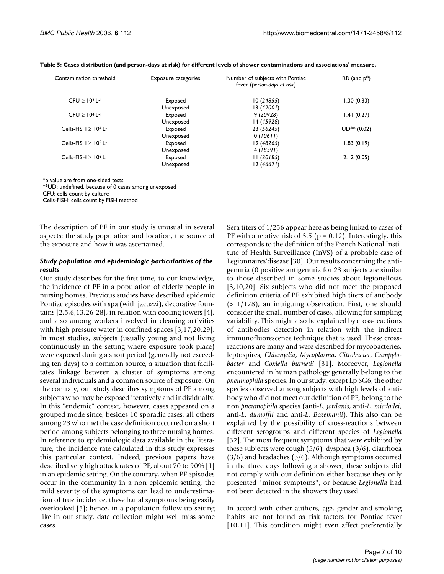| Contamination threshold           | <b>Exposure categories</b> | Number of subjects with Pontiac<br>fever (person-days at risk) | $RR$ (and $p^*$ ) |
|-----------------------------------|----------------------------|----------------------------------------------------------------|-------------------|
| $CFU > 103 L-1$                   | Exposed<br>Unexposed       | 10(24855)<br>13(42001)                                         | 1.30(0.33)        |
| $CFI > 1041-1$                    | Exposed<br>Unexposed       | 9(20928)<br>14 (45928)                                         | 1.41(0.27)        |
| Cells-FISH $>104$ L <sup>-1</sup> | Exposed<br>Unexposed       | 23 (56245)<br>0(10611)                                         | $UD** (0.02)$     |
| Cells-FISH $>105$ L <sup>-1</sup> | Exposed<br>Unexposed       | 19 (48265)<br>4(18591)                                         | 1.83(0.19)        |
| Cells-FISH $>106$ L <sup>-1</sup> | Exposed<br>Unexposed       | 11(20185)<br>12(46671)                                         | 2.12(0.05)        |

**Table 5: Cases distribution (and person-days at risk) for different levels of shower contaminations and associations' measure.**

\*p value are from one-sided tests

\*\*UD: undefined, because of 0 cases among unexposed

CFU: cells count by culture

Cells-FISH: cells count by FISH method

The description of PF in our study is unusual in several aspects: the study population and location, the source of the exposure and how it was ascertained.

#### *Study population and epidemiologic particularities of the results*

Our study describes for the first time, to our knowledge, the incidence of PF in a population of elderly people in nursing homes. Previous studies have described epidemic Pontiac episodes with spa (with jacuzzi), decorative fountains [2,5,6,13,26-28], in relation with cooling towers [[4](#page-9-0)], and also among workers involved in cleaning activities with high pressure water in confined spaces [3,[17](#page-9-2),20,29]. In most studies, subjects (usually young and not living continuously in the setting where exposure took place) were exposed during a short period (generally not exceeding ten days) to a common source, a situation that facilitates linkage between a cluster of symptoms among several individuals and a common source of exposure. On the contrary, our study describes symptoms of PF among subjects who may be exposed iteratively and individually. In this "endemic" context, however, cases appeared on a grouped mode since, besides 10 sporadic cases, all others among 23 who met the case definition occurred on a short period among subjects belonging to three nursing homes. In reference to epidemiologic data available in the literature, the incidence rate calculated in this study expresses this particular context. Indeed, previous papers have described very high attack rates of PF, about 70 to 90% [1] in an epidemic setting. On the contrary, when PF episodes occur in the community in a non epidemic setting, the mild severity of the symptoms can lead to underestimation of true incidence, these banal symptoms being easily overlooked [5]; hence, in a population follow-up setting like in our study, data collection might well miss some cases.

Sera titers of 1/256 appear here as being linked to cases of PF with a relative risk of 3.5 ( $p = 0.12$ ). Interestingly, this corresponds to the definition of the French National Institute of Health Surveillance (InVS) of a probable case of Legionnaires'disease [30]. Our results concerning the antigenuria (0 positive antigenuria for 23 subjects are similar to those described in some studies about legionellosis [3,10,20]. Six subjects who did not meet the proposed definition criteria of PF exhibited high titers of antibody (> 1/128), an intriguing observation. First, one should consider the small number of cases, allowing for sampling variability. This might also be explained by cross-reactions of antibodies detection in relation with the indirect immunofluorescence technique that is used. These crossreactions are many and were described for mycobacteries, leptospires, *Chlamydia*, *Mycoplasma*, *Citrobacter*, *Campylobacter* and *Coxiella burnetii* [31]. Moreover, *Legionella* encountered in human pathology generally belong to the *pneumophila* species. In our study, except Lp SG6, the other species observed among subjects with high levels of antibody who did not meet our definition of PF, belong to the non *pneumophila* species (anti-*L. jordanis*, anti-*L. micdadei*, anti-*L. dumoffii* and anti-*L. Bozemanii*). This also can be explained by the possibility of cross-reactions between different serogroups and different species of *Legionella* [32]. The most frequent symptoms that were exhibited by these subjects were cough (5/6), dyspnea (3/6), diarrhoea (3/6) and headaches (3/6). Although symptoms occurred in the three days following a shower, these subjects did not comply with our definition either because they only presented "minor symptoms", or because *Legionella* had not been detected in the showers they used.

In accord with other authors, age, gender and smoking habits are not found as risk factors for Pontiac fever [10,11]. This condition might even affect preferentially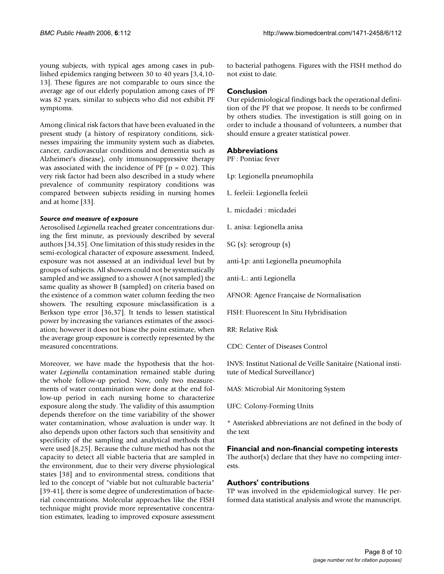young subjects, with typical ages among cases in published epidemics ranging between 30 to 40 years [3[,4,](#page-9-0)10- 13]. These figures are not comparable to ours since the average age of our elderly population among cases of PF was 82 years, similar to subjects who did not exhibit PF symptoms.

Among clinical risk factors that have been evaluated in the present study (a history of respiratory conditions, sicknesses impairing the immunity system such as diabetes, cancer, cardiovascular conditions and dementia such as Alzheimer's disease), only immunosuppressive therapy was associated with the incidence of PF ( $p = 0.02$ ). This very risk factor had been also described in a study where prevalence of community respiratory conditions was compared between subjects residing in nursing homes and at home [33].

#### *Source and measure of exposure*

Aerosolised *Legionella* reached greater concentrations during the first minute, as previously described by several authors [\[34](#page-10-0),35]. One limitation of this study resides in the semi-ecological character of exposure assessment. Indeed, exposure was not assessed at an individual level but by groups of subjects. All showers could not be systematically sampled and we assigned to a shower A (not sampled) the same quality as shower B (sampled) on criteria based on the existence of a common water column feeding the two showers. The resulting exposure misclassification is a Berkson type error [36,37]. It tends to lessen statistical power by increasing the variances estimates of the association; however it does not biase the point estimate, when the average group exposure is correctly represented by the measured concentrations.

Moreover, we have made the hypothesis that the hotwater *Legionella* contamination remained stable during the whole follow-up period. Now, only two measurements of water contamination were done at the end follow-up period in each nursing home to characterize exposure along the study. The validity of this assumption depends therefore on the time variability of the shower water contamination, whose avaluation is under way. It also depends upon other factors such that sensitivity and specificity of the sampling and analytical methods that were used [8,25]. Because the culture method has not the capacity to detect all viable bacteria that are sampled in the environment, due to their very diverse physiological states [38] and to environmental stress, conditions that led to the concept of "viable but not culturable bacteria" [39-41], there is some degree of underestimation of bacterial concentrations. Molecular approaches like the FISH technique might provide more representative concentration estimates, leading to improved exposure assessment to bacterial pathogens. Figures with the FISH method do not exist to date.

### **Conclusion**

Our epidemiological findings back the operational definition of the PF that we propose. It needs to be confirmed by others studies. The investigation is still going on in order to include a thousand of volunteers, a number that should ensure a greater statistical power.

#### **Abbreviations**

PF : Pontiac fever

Lp: Legionella pneumophila

- L. feeleii: Legionella feeleii
- L. micdadei : micdadei
- L. anisa: Legionella anisa
- SG (s): serogroup (s)

anti-Lp: anti Legionella pneumophila

anti-L.: anti Legionella

AFNOR: Agence Française de Normalisation

FISH: Fluorescent In Situ Hybridisation

RR: Relative Risk

CDC: Center of Diseases Control

INVS: Institut National de Veille Sanitaire (National institute of Medical Surveillance)

MAS: Microbial Air Monitoring System

UFC: Colony-Forming Units

\* Asterisked abbreviations are not defined in the body of the text

#### **Financial and non-financial competing interests**

The author(s) declare that they have no competing interests.

#### **Authors' contributions**

TP was involved in the epidemiological survey. He performed data statistical analysis and wrote the manuscript.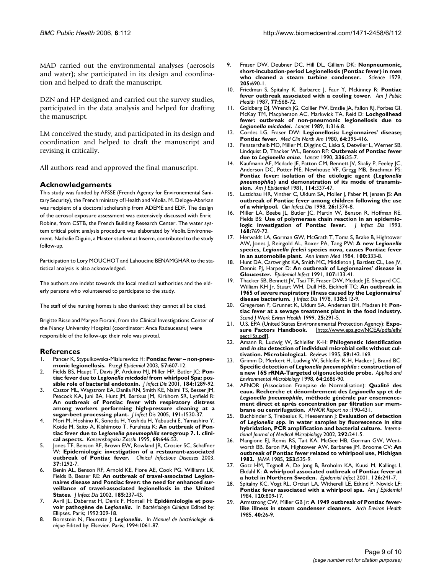MAD carried out the environmental analyses (aerosols and water); she participated in its design and coordination and helped to draft the manuscript.

DZN and HP designed and carried out the survey studies, participated in the data analysis and helped for drafting the manuscript.

LM conceived the study, and participated in its design and coordination and helped to draft the manuscript and revising it critically.

All authors read and approved the final manuscript.

#### **Acknowledgements**

This study was funded by AFSSE (French Agency for Environemental Sanitary Security), the French ministry of Health and Véolia. M. Deloge-Abarkan was recipient of a doctoral scholarship from ADEME and EDF. The design of the aerosol exposure assessment was extensively discussed with Enric Robine, from CSTB, the French Building Research Center. The water system critical point analysis procedure was elaborated by Veolia Environnement. Nathalie Diguio, a Master student at Inserm, contributed to the study follow-up.

Participation to Lory MOUCHOT and Lahoucine BENAMGHAR to the statistical analysis is also acknowledged.

The authors are indebt towards the local medical authorities and the elderly persons who volunteered to participate to the study.

The staff of the nursing homes is also thanked; they cannot all be cited.

Brigitte Risse and Maryse Fiorani, from the Clinical Investigations Center of the Nancy University Hospital (coordinator: Anca Radauceanu) were responsible of the follow-up; their role was pivotal.

#### **References**

- Pancer K, Stypulkowska-Misiurewicz H: Pontiac fever non-pneu**[monic legionellosis.](http://www.ncbi.nlm.nih.gov/entrez/query.fcgi?cmd=Retrieve&db=PubMed&dopt=Abstract&list_uids=15029835)** *Przegl Epidemiol* 2003, **57:**607-12.
- 2. Fields BS, Haupt T, Davis JP, Arduino MJ, Miller HP, Butler JC: **Pontiac fever due to** *Legionella micdadei* **[from whirlpool Spa: pos](http://www.ncbi.nlm.nih.gov/entrez/query.fcgi?cmd=Retrieve&db=PubMed&dopt=Abstract&list_uids=11679917)[sible role of bacterial endotoxin.](http://www.ncbi.nlm.nih.gov/entrez/query.fcgi?cmd=Retrieve&db=PubMed&dopt=Abstract&list_uids=11679917)** *J Infect Dis* 2001, **184:**1289-92.
- Castor ML, Wagstrom EA, Danila RN, Smith KE, Naimi TS, Besser JM, Peacock KA, Juni BA, Hunt JM, Bartkus JM, Kirkhorn SR, Lynfield R: **An outbreak of Pontiac fever with respiratory distress [among workers performing high-pressure cleaning at a](http://www.ncbi.nlm.nih.gov/entrez/query.fcgi?cmd=Retrieve&db=PubMed&dopt=Abstract&list_uids=15809913) [sugar-beet processing plant.](http://www.ncbi.nlm.nih.gov/entrez/query.fcgi?cmd=Retrieve&db=PubMed&dopt=Abstract&list_uids=15809913)** *J Infect Dis* 2005, **191:**1530-37.
- <span id="page-9-0"></span>4. Mori M, Hoshino K, Sonoda H, Yoshida H, Yabuuchi E, Yamashiro Y, Koide M, Saito A, Kishimoto T, Furuhata K: **An outbreak of Pontiac fever due to** *Legionella pneumophila* **[serogroup 7. I. clini](http://www.ncbi.nlm.nih.gov/entrez/query.fcgi?cmd=Retrieve&db=PubMed&dopt=Abstract&list_uids=7616010)[cal aspects.](http://www.ncbi.nlm.nih.gov/entrez/query.fcgi?cmd=Retrieve&db=PubMed&dopt=Abstract&list_uids=7616010)** *Kansenshogaku Zasshi* 1995, **69:**646-53.
- 5. Jones TF, Benson RF, Brown EW, Rowland JR, Crosier SC, Schaffner W: **[Epidemiologic investigation of a restaurant-associated](http://www.ncbi.nlm.nih.gov/entrez/query.fcgi?cmd=Retrieve&db=PubMed&dopt=Abstract&list_uids=14583861) [outbreak of Pontiac fever.](http://www.ncbi.nlm.nih.gov/entrez/query.fcgi?cmd=Retrieve&db=PubMed&dopt=Abstract&list_uids=14583861)** *Clinical Infectious Diseases* 2003, **37:**1292-7.
- Benin AL, Benson RF, Arnold KE, Fiore AE, Cook PG, Williams LK, Fields B, Besser RE: **[An outbreak of travel-associated Legion](http://www.ncbi.nlm.nih.gov/entrez/query.fcgi?cmd=Retrieve&db=PubMed&dopt=Abstract&list_uids=11807698)naires disease and Pontiac fever: the need for enhanced sur[veillance of travel-associated legionellosis in the United](http://www.ncbi.nlm.nih.gov/entrez/query.fcgi?cmd=Retrieve&db=PubMed&dopt=Abstract&list_uids=11807698) [States.](http://www.ncbi.nlm.nih.gov/entrez/query.fcgi?cmd=Retrieve&db=PubMed&dopt=Abstract&list_uids=11807698)** *J Infect Dis* 2002, **185:**237-43.
- 7. Avril JL, Dabernat H, Denis F, Monteil H: **Epidémiologie et pouvoir pathogène de** *Legionella***.** In *Bactériologie Clinique* Edited by: Ellipses. Paris; 1992:309-18.
- 8. Bornstein N, Fleurette J: *Legionella***.** In *Manuel de bactériologie clinique* Edited by: Elsevier. Paris; 1994:1061-87.
- 9. Fraser DW, Deubner DC, Hill DL, Gilliam DK: **[Nonpneumonic,](http://www.ncbi.nlm.nih.gov/entrez/query.fcgi?cmd=Retrieve&db=PubMed&dopt=Abstract&list_uids=462175) [short-incubation-period Legionellosis \(Pontiac fever\) in men](http://www.ncbi.nlm.nih.gov/entrez/query.fcgi?cmd=Retrieve&db=PubMed&dopt=Abstract&list_uids=462175) [who cleaned a steam turbine condenser.](http://www.ncbi.nlm.nih.gov/entrez/query.fcgi?cmd=Retrieve&db=PubMed&dopt=Abstract&list_uids=462175)** *Science* 1979, **205:**690-1.
- 10. Friedman S, Spitalny K, Barbaree J, Faur Y, Mckinney R: **[Pontiac](http://www.ncbi.nlm.nih.gov/entrez/query.fcgi?cmd=Retrieve&db=PubMed&dopt=Abstract&list_uids=3565648) [fever outbreak associated with a cooling tower.](http://www.ncbi.nlm.nih.gov/entrez/query.fcgi?cmd=Retrieve&db=PubMed&dopt=Abstract&list_uids=3565648)** *Am J Public Health* 1987, **77:**568-72.
- 11. Goldberg DJ, Wrench JG, Collier PW, Emslie JA, Fallon RJ, Forbes GI, McKay TM, Macpherson AC, Markwick TA, Reid D: **Lochgoilhead fever: outbreak of non-pneumonic legionellosis due to** *Legionella micdadei***[.](http://www.ncbi.nlm.nih.gov/entrez/query.fcgi?cmd=Retrieve&db=PubMed&dopt=Abstract&list_uids=2563467)** *Lancet* 1989, **1:**316-8.
- 12. Cordes LG, Fraser DW: **[Legionellosis: Legionnaires' disease;](http://www.ncbi.nlm.nih.gov/entrez/query.fcgi?cmd=Retrieve&db=PubMed&dopt=Abstract&list_uids=6993807) [Pontiac fever.](http://www.ncbi.nlm.nih.gov/entrez/query.fcgi?cmd=Retrieve&db=PubMed&dopt=Abstract&list_uids=6993807)** *Med Clin North Am* 1980, **64:**395-416.
- 13. Fenstersheib MD, Miller M, Diggins C, Liska S, Detwiler L, Werner SB, Lindquist D, Thacker WL, Benson RF: **Outbreak of Pontiac fever due to** *Legionella anisa***[.](http://www.ncbi.nlm.nih.gov/entrez/query.fcgi?cmd=Retrieve&db=PubMed&dopt=Abstract&list_uids=1973219)** *Lancet* 1990, **336:**35-7.
- <span id="page-9-1"></span>14. Kaufmann AF, Mcdade JE, Patton CM, Bennett JV, Skaliy P, Feeley JC, Anderson DC, Potter ME, Newhouse VF, Gregg MB, Brachman PS: **Pontiac fever: isolation of the etiologic agent (***Legionella pneumophila***[\) and demonstration of its mode of transmis](http://www.ncbi.nlm.nih.gov/entrez/query.fcgi?cmd=Retrieve&db=PubMed&dopt=Abstract&list_uids=7304569)[sion.](http://www.ncbi.nlm.nih.gov/entrez/query.fcgi?cmd=Retrieve&db=PubMed&dopt=Abstract&list_uids=7304569)** *Am J Epidemiol* 1981, **114:**337-47.
- 15. Luttichau HR, Vinther C, Uldum SA, Moller J, Faber M, Jensen JS: **[An](http://www.ncbi.nlm.nih.gov/entrez/query.fcgi?cmd=Retrieve&db=PubMed&dopt=Abstract&list_uids=9636866) [outbreak of Pontiac fever among children following the use](http://www.ncbi.nlm.nih.gov/entrez/query.fcgi?cmd=Retrieve&db=PubMed&dopt=Abstract&list_uids=9636866) [of a whirlpool.](http://www.ncbi.nlm.nih.gov/entrez/query.fcgi?cmd=Retrieve&db=PubMed&dopt=Abstract&list_uids=9636866)** *Clin Infect Dis* 1998, **26:**1374-8.
- 16. Miller LA, Beebe JL, Butler JC, Martin W, Benson R, Hoffman RE, Fields BS: Use of polymerase chain reaction in an epidemio-<br>logic investigation of Pontiac fever. *J Infect Dis* 1993, [logic investigation of Pontiac fever.](http://www.ncbi.nlm.nih.gov/entrez/query.fcgi?cmd=Retrieve&db=PubMed&dopt=Abstract&list_uids=8354920) **168:**769-72.
- <span id="page-9-2"></span>17. Herwaldt LA, Gorman GW, McGrath T, Toma S, Brake B, Hightower AW, Jones J, Reingold AL, Boxer PA, Tang PW: **A new** *Legionella* **species,** *Legionella feeleii* **[species nova, causes Pontiac fever](http://www.ncbi.nlm.nih.gov/entrez/query.fcgi?cmd=Retrieve&db=PubMed&dopt=Abstract&list_uids=6696354) [in an automobile plant.](http://www.ncbi.nlm.nih.gov/entrez/query.fcgi?cmd=Retrieve&db=PubMed&dopt=Abstract&list_uids=6696354)** *Ann Intern Med* 1984, **100:**333-8.
- 18. Hunt DA, Cartwright KA, Smith MC, Middleton J, Bartlett CL, Lee JV, Dennis PJ, Harper D: **[An outbreak of Legionnaires' disease in](http://www.ncbi.nlm.nih.gov/entrez/query.fcgi?cmd=Retrieve&db=PubMed&dopt=Abstract&list_uids=1879480) [Gloucester.](http://www.ncbi.nlm.nih.gov/entrez/query.fcgi?cmd=Retrieve&db=PubMed&dopt=Abstract&list_uids=1879480)** *Epidemiol Infect* 1991, **107:**133-41.
- Thacker SB, Bennett JV, Tsai TF, Fraser DW, Mcdade JE, Shepard CC, William KH Jr, Stuart WH, Dull HB, Eickhoff TC: **[An outbreak in](http://www.ncbi.nlm.nih.gov/entrez/query.fcgi?cmd=Retrieve&db=PubMed&dopt=Abstract&list_uids=361897) [1965 of severe respiratory illness caused by the Legionnaires'](http://www.ncbi.nlm.nih.gov/entrez/query.fcgi?cmd=Retrieve&db=PubMed&dopt=Abstract&list_uids=361897) [disease bacterium.](http://www.ncbi.nlm.nih.gov/entrez/query.fcgi?cmd=Retrieve&db=PubMed&dopt=Abstract&list_uids=361897)** *J Infect Dis* 1978, **138:**512-9.
- 20. Gregersen P, Grunnet K, Uldum SA, Andersen BH, Madsen H: **Pontiac fever at a sewage treatment plant in the food industry.** *Scand J Work Eviron Health* 1999, **25:**291-5.
- 21. U.S. EPA (United States Environnemental Protection Agency): **Exposure Factors Handbook.** [[http://www.epa.gov/NCEA/pdfs/efh/](http://www.epa.gov/NCEA/pdfs/efh/sect15a.pdf) [sect15a.pdf](http://www.epa.gov/NCEA/pdfs/efh/sect15a.pdf)].
- 22. Amann R, Ludwig W, Schleifer K-H: **Philogenetic Identification and** *in situ* **detection of individual microbial cells without cultivation. Microbiological.** *Reviews* 1995, **59:**143-169.
- 23. Grimm D, Merkert H, Ludwig W, Schleifer K-H, Hacker J, Brand BC: **Specific detection of** *Legionella pneumophila* **: construction of a new 16S rRNA-Targeted oligonucleotide probe.** *Applied and Environmental Microbiology* 1998, **64:**2686-90.
- 24. AFNOR (Association Française de Normalisation): **Qualité des eaux. Recherche et dénombrement des** *Legionella* **spp et de** *Legionella pneumophila***, méthode générale par ensemencement direct et après concentration par filtration sur membrane ou centrifugation.** *AFNOR Report no* :T90-431.
- 25. Buchbinder S, Trebesius K, Heesemann J: **Evaluation of detection of** *Legionella spp***[. in water samples by fluorescence in situ](http://www.ncbi.nlm.nih.gov/entrez/query.fcgi?cmd=Retrieve&db=PubMed&dopt=Abstract&list_uids=12398214) [hybridation, PCR amplification and bacterial culture.](http://www.ncbi.nlm.nih.gov/entrez/query.fcgi?cmd=Retrieve&db=PubMed&dopt=Abstract&list_uids=12398214)** *International Journal of Medical Microbiology* 2002, **292:**241-5.
- 26. Mangione EJ, Remis RS, Tait KA, McGee HB, Gorman GW, Wentworth BB, Baron PA, Hightower AW, Barbaree JM, Broome CV: **[An](http://www.ncbi.nlm.nih.gov/entrez/query.fcgi?cmd=Retrieve&db=PubMed&dopt=Abstract&list_uids=3968786) [outbreak of Pontiac fever related to whirlpool use, Michigan](http://www.ncbi.nlm.nih.gov/entrez/query.fcgi?cmd=Retrieve&db=PubMed&dopt=Abstract&list_uids=3968786) [1982.](http://www.ncbi.nlm.nih.gov/entrez/query.fcgi?cmd=Retrieve&db=PubMed&dopt=Abstract&list_uids=3968786)** *JAMA* 1985, **253:**535-9.
- 27. Gotz HM, Tegnell A, De Jong B, Broholm KA, Kuusi M, Kallings I, Ekdahl K: **[A whirlpool associated outbreak of Pontiac fever at](http://www.ncbi.nlm.nih.gov/entrez/query.fcgi?cmd=Retrieve&db=PubMed&dopt=Abstract&list_uids=11349975) [a hotel in Northern Sweden.](http://www.ncbi.nlm.nih.gov/entrez/query.fcgi?cmd=Retrieve&db=PubMed&dopt=Abstract&list_uids=11349975)** *Epidemiol Infect* 2001, **126:**241-7.
- 28. Spitalny KC, Vogt RL, Orciari LA, Witherell LE, Etkind P, Novick LF: **[Pontiac fever associated with a whirlpool spa.](http://www.ncbi.nlm.nih.gov/entrez/query.fcgi?cmd=Retrieve&db=PubMed&dopt=Abstract&list_uids=6391156)** *Am J Epidemiol* 1984, **120:**809-17.
- Armstrong CW, Miller GB Jr: [A 1949 outbreak of Pontiac fever](http://www.ncbi.nlm.nih.gov/entrez/query.fcgi?cmd=Retrieve&db=PubMed&dopt=Abstract&list_uids=3888124)**[like illness in steam condenser cleaners.](http://www.ncbi.nlm.nih.gov/entrez/query.fcgi?cmd=Retrieve&db=PubMed&dopt=Abstract&list_uids=3888124)** *Arch Environ Health* 1985, **40:**26-9.